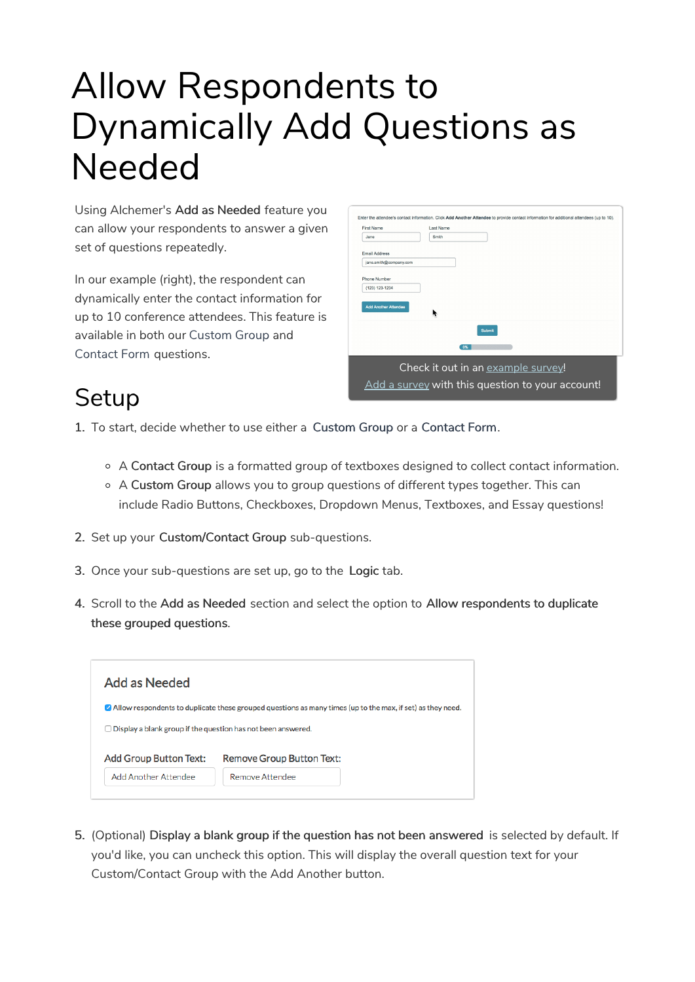# Allow Respondents to Dynamically Add Questions as Needed

Using Alchemer's Add as Needed feature you can allow your respondents to answer a given set of questions repeatedly.

In our example (right), the respondent can dynamically enter the contact information for up to 10 conference attendees. This feature is available in both our Custom Group and Contact Form questions.

| <b>First Name</b>           | Last Name                          |
|-----------------------------|------------------------------------|
| Jane.                       | Smith                              |
| <b>Email Address</b>        |                                    |
| jane.smith@company.com      |                                    |
| Phone Number                |                                    |
| (123) 123-1234              |                                    |
|                             |                                    |
| <b>Add Another Attendee</b> |                                    |
|                             | <b>Submit</b>                      |
|                             | 0%                                 |
|                             | Check it out in an example survey! |

#### **Setup**

- 1. To start, decide whether to use either a Custom Group or a Contact Form.
	- A Contact Group is a formatted group of textboxes designed to collect contact information.
	- A Custom Group allows you to group questions of different types together. This can include Radio Buttons, Checkboxes, Dropdown Menus, Textboxes, and Essay questions!
- 2. Set up your Custom/Contact Group sub-questions.
- 3. Once your sub-questions are set up, go to the Logic tab.
- 4. Scroll to the Add as Needed section and select the option to Allow respondents to duplicate these grouped questions.



5. (Optional) Display a blank group if the question has not been answered is selected by default. If you'd like, you can uncheck this option. This will display the overall question text for your Custom/Contact Group with the Add Another button.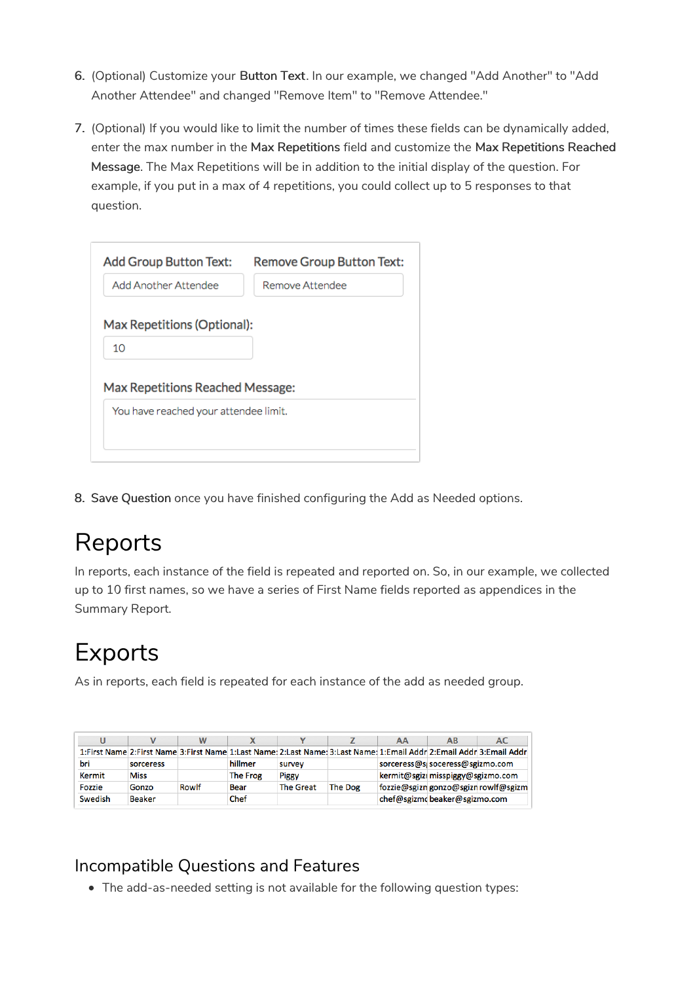- 6. (Optional) Customize your Button Text. In our example, we changed "Add Another" to "Add Another Attendee" and changed "Remove Item" to "Remove Attendee."
- 7. (Optional) If you would like to limit the number of times these fields can be dynamically added, enter the max number in the Max Repetitions field and customize the Max Repetitions Reached Message. The Max Repetitions will be in addition to the initial display of the question. For example, if you put in a max of 4 repetitions, you could collect up to 5 responses to that question.

| <b>Add Group Button Text:</b>         | <b>Remove Group Button Text:</b> |  |  |  |  |  |  |  |
|---------------------------------------|----------------------------------|--|--|--|--|--|--|--|
| Add Another Attendee                  | Remove Attendee                  |  |  |  |  |  |  |  |
| Max Repetitions (Optional):           |                                  |  |  |  |  |  |  |  |
| 10                                    |                                  |  |  |  |  |  |  |  |
| Max Repetitions Reached Message:      |                                  |  |  |  |  |  |  |  |
| You have reached your attendee limit. |                                  |  |  |  |  |  |  |  |
|                                       |                                  |  |  |  |  |  |  |  |
|                                       |                                  |  |  |  |  |  |  |  |

8. Save Question once you have finished configuring the Add as Needed options.

## Reports

In reports, each instance of the field is repeated and reported on. So, in our example, we collected up to 10 first names, so we have a series of First Name fields reported as appendices in the Summary Report.

## Exports

As in reports, each field is repeated for each instance of the add as needed group.

|         |               |       |          |                  |                | AА                                | AB                               | AC                                                                                                                   |  |
|---------|---------------|-------|----------|------------------|----------------|-----------------------------------|----------------------------------|----------------------------------------------------------------------------------------------------------------------|--|
|         |               |       |          |                  |                |                                   |                                  | 1:First Name 2:First Name 3:First Name 1:Last Name: 2:Last Name: 3:Last Name: 1:Email Addr 2:Email Addr 3:Email Addr |  |
| bri     | sorceress     |       | hillmer  | survey           |                |                                   | sorceress@si soceress@sgizmo.com |                                                                                                                      |  |
| Kermit  | <b>Miss</b>   |       | The Frog | <b>Piggy</b>     |                | kermit@sgizi misspiggy@sgizmo.com |                                  |                                                                                                                      |  |
| Fozzie  | Gonzo         | Rowlf | Bear     | <b>The Great</b> | <b>The Dog</b> |                                   |                                  | fozzie@sgizn gonzo@sgizn rowlf@sgizm                                                                                 |  |
| Swedish | <b>Beaker</b> |       | Chef     |                  |                | chef@sgizmcbeaker@sgizmo.com      |                                  |                                                                                                                      |  |

#### Incompatible Questions and Features

The add-as-needed setting is not available for the following question types: